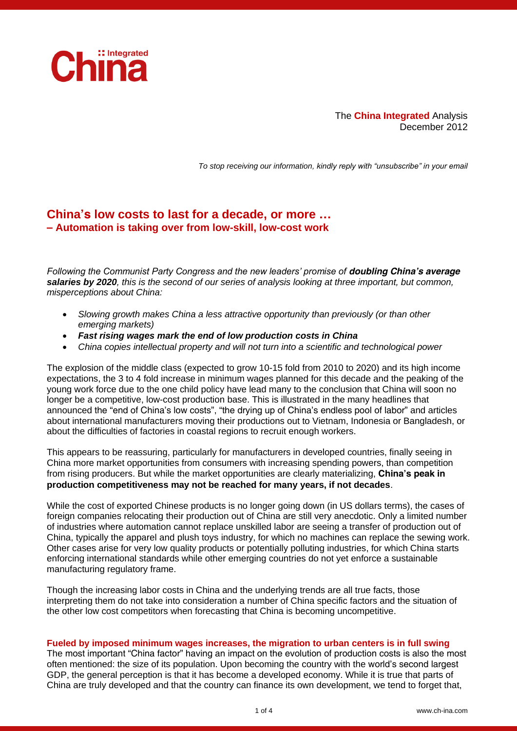

The **China Integrated** Analysis December 2012

*To stop receiving our information, kindly reply with "unsubscribe" in your email*

# **China's low costs to last for a decade, or more … – Automation is taking over from low-skill, low-cost work**

*Following the Communist Party Congress and the new leaders' promise of doubling China's average salaries by 2020, this is the second of our series of analysis looking at three important, but common, misperceptions about China:*

- *Slowing growth makes China a less attractive opportunity than previously (or than other emerging markets)*
- *Fast rising wages mark the end of low production costs in China*
- *China copies intellectual property and will not turn into a scientific and technological power*

The explosion of the middle class (expected to grow 10-15 fold from 2010 to 2020) and its high income expectations, the 3 to 4 fold increase in minimum wages planned for this decade and the peaking of the young work force due to the one child policy have lead many to the conclusion that China will soon no longer be a competitive, low-cost production base. This is illustrated in the many headlines that announced the "end of China's low costs", "the drying up of China's endless pool of labor" and articles about international manufacturers moving their productions out to Vietnam, Indonesia or Bangladesh, or about the difficulties of factories in coastal regions to recruit enough workers.

This appears to be reassuring, particularly for manufacturers in developed countries, finally seeing in China more market opportunities from consumers with increasing spending powers, than competition from rising producers. But while the market opportunities are clearly materializing, **China's peak in production competitiveness may not be reached for many years, if not decades**.

While the cost of exported Chinese products is no longer going down (in US dollars terms), the cases of foreign companies relocating their production out of China are still very anecdotic. Only a limited number of industries where automation cannot replace unskilled labor are seeing a transfer of production out of China, typically the apparel and plush toys industry, for which no machines can replace the sewing work. Other cases arise for very low quality products or potentially polluting industries, for which China starts enforcing international standards while other emerging countries do not yet enforce a sustainable manufacturing regulatory frame.

Though the increasing labor costs in China and the underlying trends are all true facts, those interpreting them do not take into consideration a number of China specific factors and the situation of the other low cost competitors when forecasting that China is becoming uncompetitive.

#### **Fueled by imposed minimum wages increases, the migration to urban centers is in full swing**

The most important "China factor" having an impact on the evolution of production costs is also the most often mentioned: the size of its population. Upon becoming the country with the world's second largest GDP, the general perception is that it has become a developed economy. While it is true that parts of China are truly developed and that the country can finance its own development, we tend to forget that,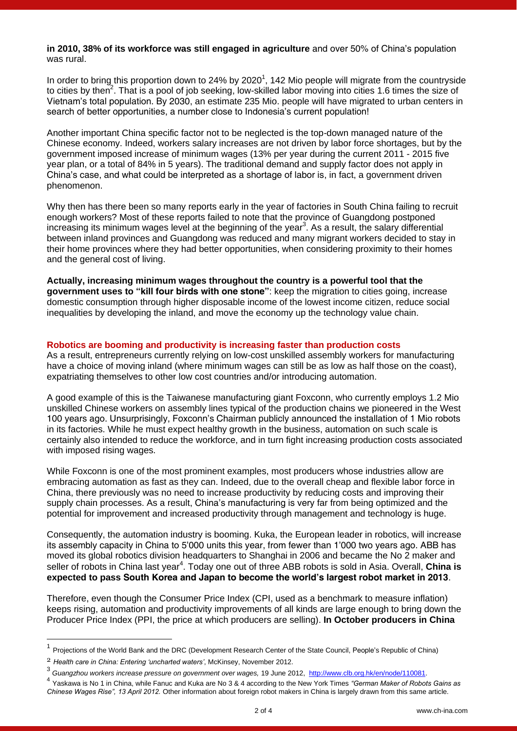### **in 2010, 38% of its workforce was still engaged in agriculture** and over 50% of China's population was rural.

In order to bring this proportion down to 24% by 2020<sup>1</sup>, 142 Mio people will migrate from the countryside to cities by then<sup>2</sup>. That is a pool of job seeking, low-skilled labor moving into cities 1.6 times the size of Vietnam's total population. By 2030, an estimate 235 Mio. people will have migrated to urban centers in search of better opportunities, a number close to Indonesia's current population!

Another important China specific factor not to be neglected is the top-down managed nature of the Chinese economy. Indeed, workers salary increases are not driven by labor force shortages, but by the government imposed increase of minimum wages (13% per year during the current 2011 - 2015 five year plan, or a total of 84% in 5 years). The traditional demand and supply factor does not apply in China's case, and what could be interpreted as a shortage of labor is, in fact, a government driven phenomenon.

Why then has there been so many reports early in the year of factories in South China failing to recruit enough workers? Most of these reports failed to note that the province of Guangdong postponed increasing its minimum wages level at the beginning of the year<sup>3</sup>. As a result, the salary differential between inland provinces and Guangdong was reduced and many migrant workers decided to stay in their home provinces where they had better opportunities, when considering proximity to their homes and the general cost of living.

**Actually, increasing minimum wages throughout the country is a powerful tool that the government uses to "kill four birds with one stone"**: keep the migration to cities going, increase domestic consumption through higher disposable income of the lowest income citizen, reduce social inequalities by developing the inland, and move the economy up the technology value chain.

### **Robotics are booming and productivity is increasing faster than production costs**

As a result, entrepreneurs currently relying on low-cost unskilled assembly workers for manufacturing have a choice of moving inland (where minimum wages can still be as low as half those on the coast), expatriating themselves to other low cost countries and/or introducing automation.

A good example of this is the Taiwanese manufacturing giant Foxconn, who currently employs 1.2 Mio unskilled Chinese workers on assembly lines typical of the production chains we pioneered in the West 100 years ago. Unsurprisingly, Foxconn's Chairman publicly announced the installation of 1 Mio robots in its factories. While he must expect healthy growth in the business, automation on such scale is certainly also intended to reduce the workforce, and in turn fight increasing production costs associated with imposed rising wages.

While Foxconn is one of the most prominent examples, most producers whose industries allow are embracing automation as fast as they can. Indeed, due to the overall cheap and flexible labor force in China, there previously was no need to increase productivity by reducing costs and improving their supply chain processes. As a result, China's manufacturing is very far from being optimized and the potential for improvement and increased productivity through management and technology is huge.

Consequently, the automation industry is booming. Kuka, the European leader in robotics, will increase its assembly capacity in China to 5'000 units this year, from fewer than 1'000 two years ago. ABB has moved its global robotics division headquarters to Shanghai in 2006 and became the No 2 maker and seller of robots in China last year<sup>4</sup>. Today one out of three ABB robots is sold in Asia. Overall, China is **expected to pass South Korea and Japan to become the world's largest robot market in 2013**.

Therefore, even though the Consumer Price Index (CPI, used as a benchmark to measure inflation) keeps rising, automation and productivity improvements of all kinds are large enough to bring down the Producer Price Index (PPI, the price at which producers are selling). **In October producers in China**

-

<sup>1</sup> Projections of the World Bank and the DRC (Development Research Center of the State Council, People's Republic of China)

<sup>2</sup> *Health care in China: Entering 'uncharted waters'*, McKinsey, November 2012.

<sup>3</sup> *Guangzhou workers increase pressure on government over wages,* 19 June 2012, [http://www.clb.org.hk/en/node/110081.](http://www.clb.org.hk/en/node/110081)

<sup>4</sup> Yaskawa is No 1 in China, while Fanuc and Kuka are No 3 & 4 according to the New York Times *"German Maker of Robots Gains as Chinese Wages Rise", 13 April 2012.* Other information about foreign robot makers in China is largely drawn from this same article.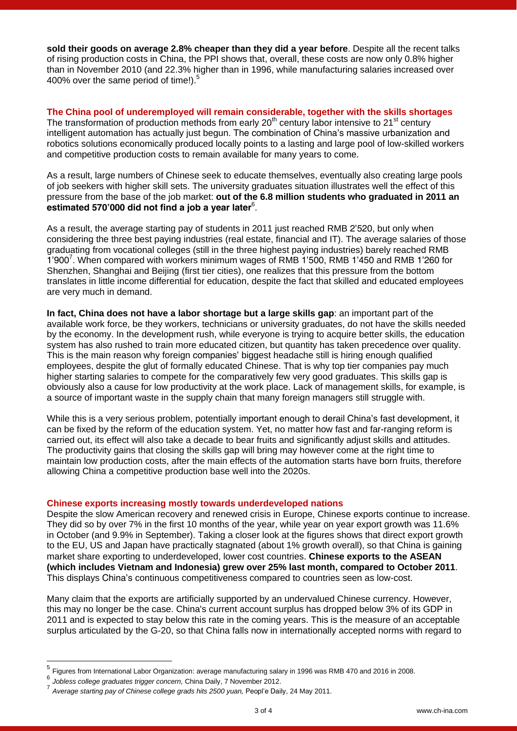**sold their goods on average 2.8% cheaper than they did a year before**. Despite all the recent talks of rising production costs in China, the PPI shows that, overall, these costs are now only 0.8% higher than in November 2010 (and 22.3% higher than in 1996, while manufacturing salaries increased over 400% over the same period of time! $1.5$ 

**The China pool of underemployed will remain considerable, together with the skills shortages** The transformation of production methods from early  $20<sup>th</sup>$  century labor intensive to  $21<sup>st</sup>$  century intelligent automation has actually just begun. The combination of China's massive urbanization and robotics solutions economically produced locally points to a lasting and large pool of low-skilled workers and competitive production costs to remain available for many years to come.

As a result, large numbers of Chinese seek to educate themselves, eventually also creating large pools of job seekers with higher skill sets. The university graduates situation illustrates well the effect of this pressure from the base of the job market: **out of the 6.8 million students who graduated in 2011 an estimated 570'000 did not find a job a year later**<sup>6</sup> .

As a result, the average starting pay of students in 2011 just reached RMB 2'520, but only when considering the three best paying industries (real estate, financial and IT). The average salaries of those graduating from vocational colleges (still in the three highest paying industries) barely reached RMB 1'900<sup>7</sup> . When compared with workers minimum wages of RMB 1'500, RMB 1'450 and RMB 1'260 for Shenzhen, Shanghai and Beijing (first tier cities), one realizes that this pressure from the bottom translates in little income differential for education, despite the fact that skilled and educated employees are very much in demand.

**In fact, China does not have a labor shortage but a large skills gap**: an important part of the available work force, be they workers, technicians or university graduates, do not have the skills needed by the economy. In the development rush, while everyone is trying to acquire better skills, the education system has also rushed to train more educated citizen, but quantity has taken precedence over quality. This is the main reason why foreign companies' biggest headache still is hiring enough qualified employees, despite the glut of formally educated Chinese. That is why top tier companies pay much higher starting salaries to compete for the comparatively few very good graduates. This skills gap is obviously also a cause for low productivity at the work place. Lack of management skills, for example, is a source of important waste in the supply chain that many foreign managers still struggle with.

While this is a very serious problem, potentially important enough to derail China's fast development, it can be fixed by the reform of the education system. Yet, no matter how fast and far-ranging reform is carried out, its effect will also take a decade to bear fruits and significantly adjust skills and attitudes. The productivity gains that closing the skills gap will bring may however come at the right time to maintain low production costs, after the main effects of the automation starts have born fruits, therefore allowing China a competitive production base well into the 2020s.

### **Chinese exports increasing mostly towards underdeveloped nations**

Despite the slow American recovery and renewed crisis in Europe, Chinese exports continue to increase. They did so by over 7% in the first 10 months of the year, while year on year export growth was 11.6% in October (and 9.9% in September). Taking a closer look at the figures shows that direct export growth to the EU, US and Japan have practically stagnated (about 1% growth overall), so that China is gaining market share exporting to underdeveloped, lower cost countries. **Chinese exports to the ASEAN (which includes Vietnam and Indonesia) grew over 25% last month, compared to October 2011**. This displays China's continuous competitiveness compared to countries seen as low-cost.

Many claim that the exports are artificially supported by an undervalued Chinese currency. However, this may no longer be the case. China's current account surplus has dropped below 3% of its GDP in 2011 and is expected to stay below this rate in the coming years. This is the measure of an acceptable surplus articulated by the G-20, so that China falls now in internationally accepted norms with regard to

-

<sup>5</sup> Figures from International Labor Organization: average manufacturing salary in 1996 was RMB 470 and 2016 in 2008.

<sup>6</sup> *Jobless college graduates trigger concern,* China Daily, 7 November 2012.

<sup>7</sup> *Average starting pay of Chinese college grads hits 2500 yuan,* Peopl'e Daily, 24 May 2011.